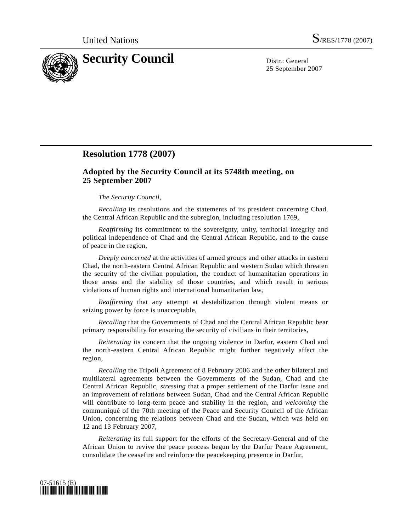

25 September 2007

# **Resolution 1778 (2007)**

## **Adopted by the Security Council at its 5748th meeting, on 25 September 2007**

### *The Security Council*,

*Recalling* its resolutions and the statements of its president concerning Chad, the Central African Republic and the subregion, including resolution 1769,

*Reaffirming* its commitment to the sovereignty, unity, territorial integrity and political independence of Chad and the Central African Republic, and to the cause of peace in the region,

*Deeply concerned* at the activities of armed groups and other attacks in eastern Chad, the north-eastern Central African Republic and western Sudan which threaten the security of the civilian population, the conduct of humanitarian operations in those areas and the stability of those countries, and which result in serious violations of human rights and international humanitarian law,

*Reaffirming* that any attempt at destabilization through violent means or seizing power by force is unacceptable,

*Recalling* that the Governments of Chad and the Central African Republic bear primary responsibility for ensuring the security of civilians in their territories,

*Reiterating* its concern that the ongoing violence in Darfur, eastern Chad and the north-eastern Central African Republic might further negatively affect the region,

*Recalling* the Tripoli Agreement of 8 February 2006 and the other bilateral and multilateral agreements between the Governments of the Sudan, Chad and the Central African Republic, *stressing* that a proper settlement of the Darfur issue and an improvement of relations between Sudan, Chad and the Central African Republic will contribute to long-term peace and stability in the region, and *welcoming* the communiqué of the 70th meeting of the Peace and Security Council of the African Union, concerning the relations between Chad and the Sudan, which was held on 12 and 13 February 2007,

*Reiterating* its full support for the efforts of the Secretary-General and of the African Union to revive the peace process begun by the Darfur Peace Agreement, consolidate the ceasefire and reinforce the peacekeeping presence in Darfur,

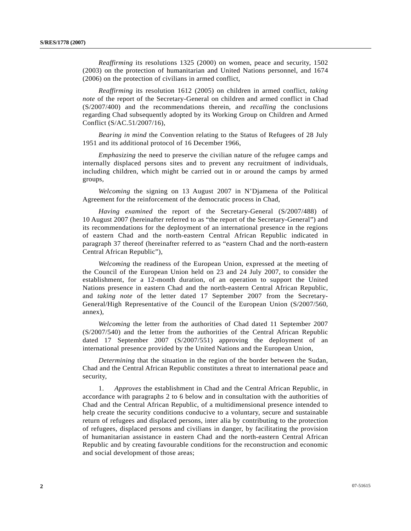*Reaffirming* its resolutions 1325 (2000) on women, peace and security, 1502 (2003) on the protection of humanitarian and United Nations personnel, and 1674 (2006) on the protection of civilians in armed conflict,

*Reaffirming* its resolution 1612 (2005) on children in armed conflict, *taking note* of the report of the Secretary-General on children and armed conflict in Chad (S/2007/400) and the recommendations therein, and *recalling* the conclusions regarding Chad subsequently adopted by its Working Group on Children and Armed Conflict (S/AC.51/2007/16),

*Bearing in mind* the Convention relating to the Status of Refugees of 28 July 1951 and its additional protocol of 16 December 1966,

*Emphasizing* the need to preserve the civilian nature of the refugee camps and internally displaced persons sites and to prevent any recruitment of individuals, including children, which might be carried out in or around the camps by armed groups,

*Welcoming* the signing on 13 August 2007 in N'Djamena of the Political Agreement for the reinforcement of the democratic process in Chad,

*Having examined* the report of the Secretary-General (S/2007/488) of 10 August 2007 (hereinafter referred to as "the report of the Secretary-General") and its recommendations for the deployment of an international presence in the regions of eastern Chad and the north-eastern Central African Republic indicated in paragraph 37 thereof (hereinafter referred to as "eastern Chad and the north-eastern Central African Republic"),

*Welcoming* the readiness of the European Union, expressed at the meeting of the Council of the European Union held on 23 and 24 July 2007, to consider the establishment, for a 12-month duration, of an operation to support the United Nations presence in eastern Chad and the north-eastern Central African Republic, and *taking note* of the letter dated 17 September 2007 from the Secretary-General/High Representative of the Council of the European Union (S/2007/560, annex),

*Welcoming* the letter from the authorities of Chad dated 11 September 2007 (S/2007/540) and the letter from the authorities of the Central African Republic dated 17 September 2007 (S/2007/551) approving the deployment of an international presence provided by the United Nations and the European Union,

*Determining* that the situation in the region of the border between the Sudan, Chad and the Central African Republic constitutes a threat to international peace and security,

 1. *Approves* the establishment in Chad and the Central African Republic, in accordance with paragraphs 2 to 6 below and in consultation with the authorities of Chad and the Central African Republic, of a multidimensional presence intended to help create the security conditions conducive to a voluntary, secure and sustainable return of refugees and displaced persons, inter alia by contributing to the protection of refugees, displaced persons and civilians in danger, by facilitating the provision of humanitarian assistance in eastern Chad and the north-eastern Central African Republic and by creating favourable conditions for the reconstruction and economic and social development of those areas;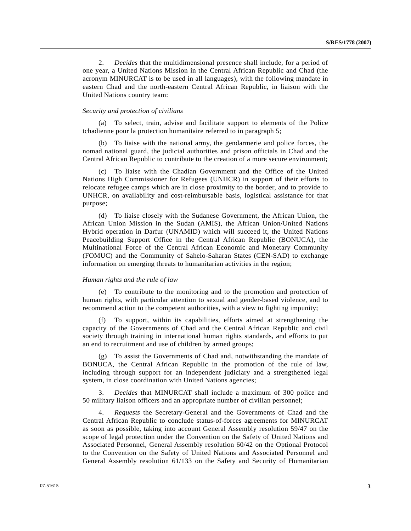2. *Decides* that the multidimensional presence shall include, for a period of one year, a United Nations Mission in the Central African Republic and Chad (the acronym MINURCAT is to be used in all languages), with the following mandate in eastern Chad and the north-eastern Central African Republic, in liaison with the United Nations country team:

#### *Security and protection of civilians*

 (a) To select, train, advise and facilitate support to elements of the Police tchadienne pour la protection humanitaire referred to in paragraph 5;

 (b) To liaise with the national army, the gendarmerie and police forces, the nomad national guard, the judicial authorities and prison officials in Chad and the Central African Republic to contribute to the creation of a more secure environment;

 (c) To liaise with the Chadian Government and the Office of the United Nations High Commissioner for Refugees (UNHCR) in support of their efforts to relocate refugee camps which are in close proximity to the border, and to provide to UNHCR, on availability and cost-reimbursable basis, logistical assistance for that purpose;

 (d) To liaise closely with the Sudanese Government, the African Union, the African Union Mission in the Sudan (AMIS), the African Union/United Nations Hybrid operation in Darfur (UNAMID) which will succeed it, the United Nations Peacebuilding Support Office in the Central African Republic (BONUCA), the Multinational Force of the Central African Economic and Monetary Community (FOMUC) and the Community of Sahelo-Saharan States (CEN-SAD) to exchange information on emerging threats to humanitarian activities in the region;

#### *Human rights and the rule of law*

 (e) To contribute to the monitoring and to the promotion and protection of human rights, with particular attention to sexual and gender-based violence, and to recommend action to the competent authorities, with a view to fighting impunity;

 (f) To support, within its capabilities, efforts aimed at strengthening the capacity of the Governments of Chad and the Central African Republic and civil society through training in international human rights standards, and efforts to put an end to recruitment and use of children by armed groups;

 (g) To assist the Governments of Chad and, notwithstanding the mandate of BONUCA, the Central African Republic in the promotion of the rule of law, including through support for an independent judiciary and a strengthened legal system, in close coordination with United Nations agencies;

 3. *Decides* that MINURCAT shall include a maximum of 300 police and 50 military liaison officers and an appropriate number of civilian personnel;

 4. *Requests* the Secretary-General and the Governments of Chad and the Central African Republic to conclude status-of-forces agreements for MINURCAT as soon as possible, taking into account General Assembly resolution 59/47 on the scope of legal protection under the Convention on the Safety of United Nations and Associated Personnel, General Assembly resolution 60/42 on the Optional Protocol to the Convention on the Safety of United Nations and Associated Personnel and General Assembly resolution 61/133 on the Safety and Security of Humanitarian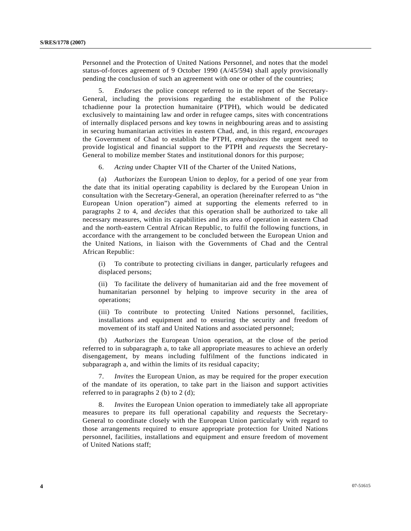Personnel and the Protection of United Nations Personnel, and notes that the model status-of-forces agreement of 9 October 1990 (A/45/594) shall apply provisionally pending the conclusion of such an agreement with one or other of the countries;

 5. *Endorses* the police concept referred to in the report of the Secretary-General, including the provisions regarding the establishment of the Police tchadienne pour la protection humanitaire (PTPH), which would be dedicated exclusively to maintaining law and order in refugee camps, sites with concentrations of internally displaced persons and key towns in neighbouring areas and to assisting in securing humanitarian activities in eastern Chad, and, in this regard, *encourages* the Government of Chad to establish the PTPH, *emphasizes* the urgent need to provide logistical and financial support to the PTPH and *requests* the Secretary-General to mobilize member States and institutional donors for this purpose;

6. *Acting* under Chapter VII of the Charter of the United Nations,

 (a) *Authorizes* the European Union to deploy, for a period of one year from the date that its initial operating capability is declared by the European Union in consultation with the Secretary-General, an operation (hereinafter referred to as "the European Union operation") aimed at supporting the elements referred to in paragraphs 2 to 4, and *decides* that this operation shall be authorized to take all necessary measures, within its capabilities and its area of operation in eastern Chad and the north-eastern Central African Republic, to fulfil the following functions, in accordance with the arrangement to be concluded between the European Union and the United Nations, in liaison with the Governments of Chad and the Central African Republic:

 (i) To contribute to protecting civilians in danger, particularly refugees and displaced persons;

 (ii) To facilitate the delivery of humanitarian aid and the free movement of humanitarian personnel by helping to improve security in the area of operations;

 (iii) To contribute to protecting United Nations personnel, facilities, installations and equipment and to ensuring the security and freedom of movement of its staff and United Nations and associated personnel;

 (b) *Authorizes* the European Union operation, at the close of the period referred to in subparagraph a, to take all appropriate measures to achieve an orderly disengagement, by means including fulfilment of the functions indicated in subparagraph a, and within the limits of its residual capacity;

 7. *Invites* the European Union, as may be required for the proper execution of the mandate of its operation, to take part in the liaison and support activities referred to in paragraphs 2 (b) to 2 (d);

 8. *Invites* the European Union operation to immediately take all appropriate measures to prepare its full operational capability and *requests* the Secretary-General to coordinate closely with the European Union particularly with regard to those arrangements required to ensure appropriate protection for United Nations personnel, facilities, installations and equipment and ensure freedom of movement of United Nations staff;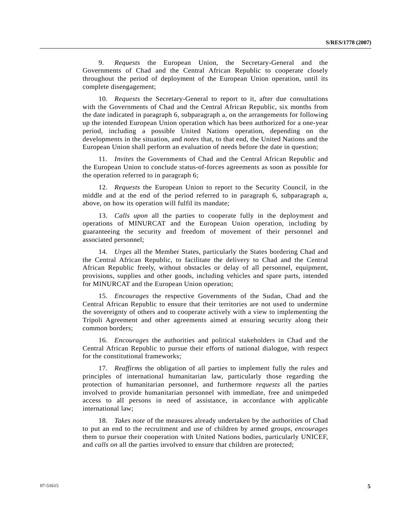9. *Requests* the European Union, the Secretary-General and the Governments of Chad and the Central African Republic to cooperate closely throughout the period of deployment of the European Union operation, until its complete disengagement;

 10. *Requests* the Secretary-General to report to it, after due consultations with the Governments of Chad and the Central African Republic, six months from the date indicated in paragraph 6, subparagraph a, on the arrangements for following up the intended European Union operation which has been authorized for a one-year period, including a possible United Nations operation, depending on the developments in the situation, and *notes* that, to that end, the United Nations and the European Union shall perform an evaluation of needs before the date in question;

 11. *Invites* the Governments of Chad and the Central African Republic and the European Union to conclude status-of-forces agreements as soon as possible for the operation referred to in paragraph 6;

 12. *Requests* the European Union to report to the Security Council, in the middle and at the end of the period referred to in paragraph 6, subparagraph a, above, on how its operation will fulfil its mandate;

 13. *Calls upon* all the parties to cooperate fully in the deployment and operations of MINURCAT and the European Union operation, including by guaranteeing the security and freedom of movement of their personnel and associated personnel;

 14. *Urges* all the Member States, particularly the States bordering Chad and the Central African Republic, to facilitate the delivery to Chad and the Central African Republic freely, without obstacles or delay of all personnel, equipment, provisions, supplies and other goods, including vehicles and spare parts, intended for MINURCAT and the European Union operation;

 15. *Encourages* the respective Governments of the Sudan, Chad and the Central African Republic to ensure that their territories are not used to undermine the sovereignty of others and to cooperate actively with a view to implementing the Tripoli Agreement and other agreements aimed at ensuring security along their common borders;

 16. *Encourages* the authorities and political stakeholders in Chad and the Central African Republic to pursue their efforts of national dialogue, with respect for the constitutional frameworks;

 17. *Reaffirms* the obligation of all parties to implement fully the rules and principles of international humanitarian law, particularly those regarding the protection of humanitarian personnel, and furthermore *requests* all the parties involved to provide humanitarian personnel with immediate, free and unimpeded access to all persons in need of assistance, in accordance with applicable international law;

 18. *Takes note* of the measures already undertaken by the authorities of Chad to put an end to the recruitment and use of children by armed groups, *encourages* them to pursue their cooperation with United Nations bodies, particularly UNICEF, and *calls on* all the parties involved to ensure that children are protected;